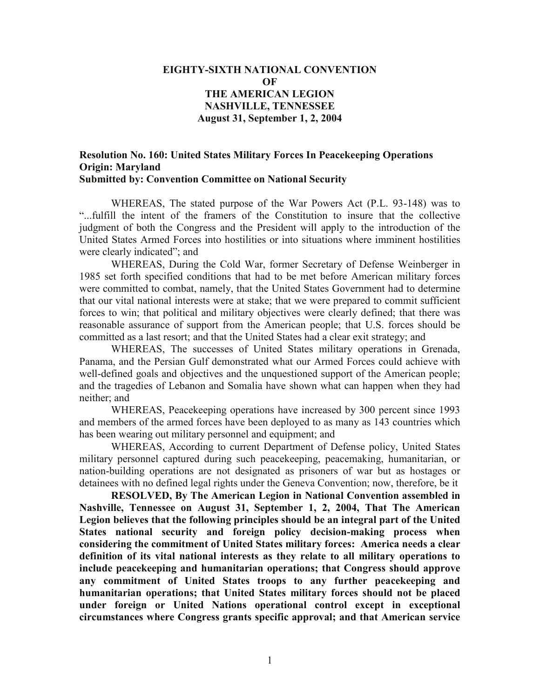## **EIGHTY-SIXTH NATIONAL CONVENTION OF THE AMERICAN LEGION NASHVILLE, TENNESSEE August 31, September 1, 2, 2004**

## **Resolution No. 160: United States Military Forces In Peacekeeping Operations Origin: Maryland Submitted by: Convention Committee on National Security**

WHEREAS, The stated purpose of the War Powers Act (P.L. 93-148) was to "...fulfill the intent of the framers of the Constitution to insure that the collective judgment of both the Congress and the President will apply to the introduction of the United States Armed Forces into hostilities or into situations where imminent hostilities were clearly indicated"; and

WHEREAS, During the Cold War, former Secretary of Defense Weinberger in 1985 set forth specified conditions that had to be met before American military forces were committed to combat, namely, that the United States Government had to determine that our vital national interests were at stake; that we were prepared to commit sufficient forces to win; that political and military objectives were clearly defined; that there was reasonable assurance of support from the American people; that U.S. forces should be committed as a last resort; and that the United States had a clear exit strategy; and

WHEREAS, The successes of United States military operations in Grenada, Panama, and the Persian Gulf demonstrated what our Armed Forces could achieve with well-defined goals and objectives and the unquestioned support of the American people; and the tragedies of Lebanon and Somalia have shown what can happen when they had neither; and

WHEREAS, Peacekeeping operations have increased by 300 percent since 1993 and members of the armed forces have been deployed to as many as 143 countries which has been wearing out military personnel and equipment; and

WHEREAS, According to current Department of Defense policy, United States military personnel captured during such peacekeeping, peacemaking, humanitarian, or nation-building operations are not designated as prisoners of war but as hostages or detainees with no defined legal rights under the Geneva Convention; now, therefore, be it

**RESOLVED, By The American Legion in National Convention assembled in Nashville, Tennessee on August 31, September 1, 2, 2004, That The American Legion believes that the following principles should be an integral part of the United States national security and foreign policy decision-making process when considering the commitment of United States military forces: America needs a clear definition of its vital national interests as they relate to all military operations to include peacekeeping and humanitarian operations; that Congress should approve any commitment of United States troops to any further peacekeeping and humanitarian operations; that United States military forces should not be placed under foreign or United Nations operational control except in exceptional circumstances where Congress grants specific approval; and that American service**